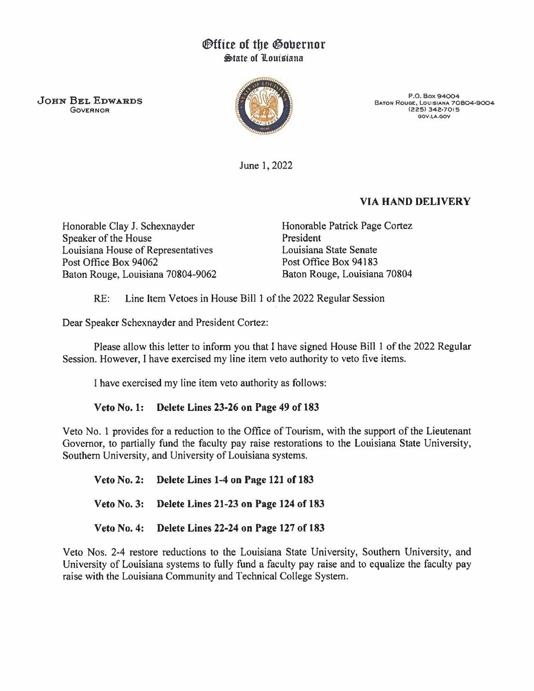## *<u>Office</u>* of the Governor **State of Louisiana**

JOHN BEL EDWARDS GOVERNOR



P.O. Box 94004 BATON ROUGE, LOUISIANA 70804-9004 (225) 342-7015 GOV.LA.GOV

June 1, 2022

## VIA HAND DELIVERY

Honorable Clay J. Schexnayder Speaker of the House Louisiana House of Representatives Post Office Box 94062 Baton Rouge, Louisiana 70804-9062 Honorable Patrick Page Cortez President Louisiana State Senate Post Office Box 94183 Baton Rouge, Louisiana 70804

RE: Line Item Vetoes in House Bill 1 of the 2022 Regular Session

Dear Speaker Schexnayder and President Cortez:

Please allow this letter to inform you that I have signed House Bill 1 of the 2022 Regular Session. However, I have exercised my line item veto authority to veto five items.

I have exercised my line item veto authority as follows:

## Veto No. 1: Delete Lines 23-26 on Page 49 of 183

Veto No. 1 provides for a reduction to the Office of Tourism, with the support of the Lieutenant Governor, to partially fund the faculty pay raise restorations to the Louisiana State University, Southern University, and University of Louisiana systems.

Veto No. 2: Delete Lines 1-4 on Page 121 of 183 Veto No. 3: Delete Lines 21-23 on Page 124 of 183 Veto No. 4: Delete Lines 22-24 on Page 127 of 183

Veto Nos. 2-4 restore reductions to the Louisiana State University, Southern University, and University of Louisiana systems to fully fund a faculty pay raise and to equalize the faculty pay raise with the Louisiana Community and Technical College System.